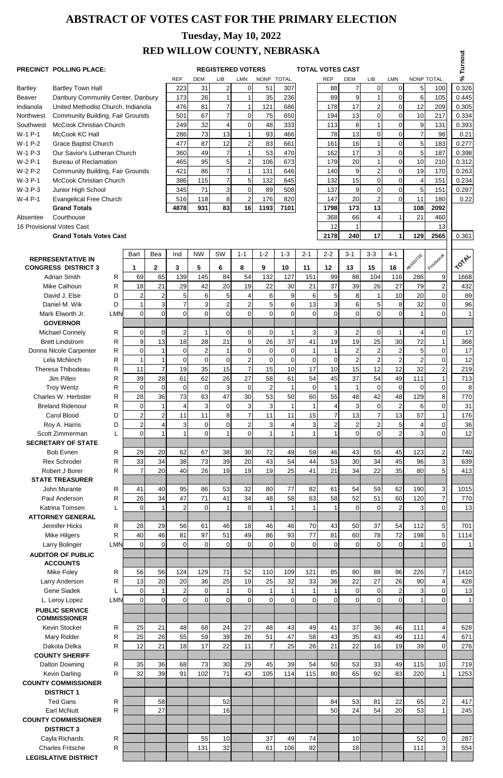# **ABSTRACT OF VOTES CAST FOR THE PRIMARY ELECTION**

# **RED WILLOW COUNTY, NEBRASKA**

### **PRECINCT POLLING PLACE:** <br> **REGISTERED VOTERS** TOTAL VOTES CAST

# **Tuesday, May 10, 2022**

## **REGISTERED VOTERS**

| RED WILLOW COUNTT, NEDRASKA                           |                                                        |                  |                      |                                                     |                 |                |                                  |                                  |                |                 |                |                                   |                      |                         |                      |                   |                   |              |
|-------------------------------------------------------|--------------------------------------------------------|------------------|----------------------|-----------------------------------------------------|-----------------|----------------|----------------------------------|----------------------------------|----------------|-----------------|----------------|-----------------------------------|----------------------|-------------------------|----------------------|-------------------|-------------------|--------------|
|                                                       | PRECINCT POLLING PLACE:                                |                  |                      | <b>REGISTERED VOTERS</b><br><b>TOTAL VOTES CAST</b> |                 |                |                                  |                                  |                |                 |                |                                   |                      |                         |                      |                   |                   | % Turnout    |
|                                                       |                                                        |                  |                      |                                                     | <b>REP</b>      | DEM            | LIB                              | LMN                              | <b>NONP</b>    | <b>TOTAL</b>    |                | <b>REP</b>                        | <b>DEM</b>           | LIB                     | <b>LMN</b>           | <b>NONP TOTAL</b> |                   |              |
| <b>Bartley</b>                                        | <b>Bartley Town Hall</b>                               |                  |                      |                                                     |                 |                | $\overline{2}$                   | $\overline{O}$                   | 51             | 307             |                | 88                                | $\overline{7}$       | $\mathbf 0$             | $\overline{O}$       | 5                 | 100               | 0.326        |
| <b>Beaver</b>                                         | Danbury Community Center, Danbury                      |                  |                      |                                                     | 173             | 26             |                                  |                                  | 35             | 236             |                | 89                                | 9                    |                         | $\Omega$             | $\,6$             | 105               | 0.445        |
| United Methodist Church, Indianola<br>Indianola       |                                                        |                  |                      |                                                     | 476             | 81             | $\overline{7}$                   | $\mathbf{1}$                     | 121            | 686             |                | 178                               | 17                   | $\overline{2}$          | $\overline{0}$       | 12                | 209               | 0.305        |
| <b>Community Building, Fair Grounds</b><br>Northwest  |                                                        |                  |                      |                                                     | 501             | 67             | $\overline{7}$                   | 0                                | 75             | 650             |                | 194                               | 13                   | $\overline{0}$          | $\overline{0}$       | 10                | 217               | 0.334        |
| Southwest                                             | <b>McCook Christian Church</b>                         |                  |                      |                                                     | 249             | 32             | 4                                | $\overline{0}$                   | 48             | 333             |                | 113                               | 8                    |                         | $\overline{0}$       | $9\,$             | 131               | 0.393        |
| W-1 P-1                                               | McCook KC Hall                                         |                  |                      |                                                     | 286             | 73             | 13                               | 1                                | 93             | 466             |                | 78                                | 13                   | $\overline{0}$          | $\overline{0}$       | $\overline{7}$    | 98                | 0.21         |
| W-1 P-2                                               | <b>Grace Baptist Church</b>                            |                  |                      |                                                     | 477             | 87             | 12                               | $\overline{2}$                   | 83             | 661             |                | 161                               | 16                   |                         | $\overline{0}$       | $\overline{5}$    | 183               | 0.277        |
| W-1 P-3                                               | Our Savior's Lutheran Church                           |                  |                      |                                                     | 360             | 49             | $\overline{7}$                   | 1                                | 53             | 470             |                | 162                               | 17                   | $\overline{3}$          | $\overline{0}$       | $\overline{5}$    | 187               | 0.398        |
| W-2 P-1                                               | <b>Bureau of Reclamation</b>                           |                  |                      |                                                     | 465             | 95             | 5 <sup>1</sup>                   | $\mathbf{2}$                     | 106            | 673             |                | 179                               | 20                   |                         | $\overline{0}$       | 10                | 210               | 0.312        |
| W-2 P-2                                               | <b>Community Building, Fair Grounds</b>                |                  |                      |                                                     | 421             | 86             | $\overline{7}$                   | $\mathbf{1}$                     | 131            | 646             |                | 140                               | $\boldsymbol{9}$     | $\overline{2}$          | $\overline{0}$       | 19                | 170               | 0.263        |
| W-3 P-1                                               | <b>McCook Christian Church</b>                         |                  |                      |                                                     | 386             | 115            | $\overline{7}$                   | 5 <sub>1</sub>                   | 132            | 645             |                | 132                               | 15                   | $\overline{0}$          | $\overline{0}$       | 4                 | 151               | 0.234        |
| W-3 P-3                                               | Junior High School                                     |                  |                      |                                                     | 345             | 71             | 3                                | $\overline{0}$                   | 89             | 508             |                | 137                               | 9                    | $\overline{0}$          | $\overline{0}$       | $\overline{5}$    | 151               | 0.297        |
| W-4 P-1                                               | <b>Evangelical Free Church</b>                         |                  |                      |                                                     | 516             | 118            | $\bf{8}$                         | $\overline{2}$                   | 176            | 820             |                | 147                               | 20                   | $\overline{2}$          | $\overline{0}$       | 11                | 180               | 0.22         |
|                                                       | <b>Grand Totals</b>                                    |                  |                      |                                                     | 4878            | 931            | 83                               | 16                               | 1193           | 7101            |                | 1798                              | 173                  | 13                      |                      | 108               | 2092              |              |
| Absentee                                              | Courthouse                                             |                  |                      |                                                     |                 |                |                                  |                                  |                |                 |                | 368                               | 66                   | $\overline{\mathbf{4}}$ |                      | 21                | 460               |              |
|                                                       | 16 Provisional Votes Cast                              |                  |                      |                                                     |                 |                |                                  |                                  |                |                 |                | 12                                |                      |                         |                      |                   | 13                |              |
|                                                       | <b>Grand Totals Votes Cast</b>                         |                  |                      |                                                     |                 |                |                                  |                                  |                |                 |                | 2178                              | 240                  | 17                      | $\blacktriangleleft$ | 129               | 2565              | 0.361        |
|                                                       |                                                        |                  |                      |                                                     |                 |                |                                  |                                  |                |                 |                |                                   |                      |                         |                      |                   |                   |              |
|                                                       |                                                        |                  | <b>Bart</b>          | Bea                                                 | Ind             | <b>NW</b>      | SW                               | $1 - 1$                          | $1 - 2$        | $1 - 3$         | $2 - 1$        | $2 - 2$                           | $3 - 1$              | $3 - 3$                 | $4 - 1$              |                   |                   |              |
|                                                       | <b>REPRESENTATIVE IN</b><br><b>CONGRESS DISTRICT 3</b> |                  | 1                    | $\mathbf{2}$                                        | 3               | 5              | 6                                | 8                                | 9              | 10              | 11             | 12                                | 13                   | 15                      | 16                   | ABSENTEE          | Provisional       | <b>TOTAL</b> |
|                                                       | <b>Adrian Smith</b>                                    | R                | 69                   | 65                                                  | 139             | 145            | 84                               | 54                               | 132            | 127             | 151            | 99                                | 88                   | 104                     | 116                  | 286               | 9                 | 1668         |
| Mike Calhoun                                          |                                                        | R                | 18                   | 21                                                  | 29              | 42             | 20                               | 19                               | 22             | 30              | 21             | 37                                | 39                   | 26                      | 27                   | 79                | $\overline{2}$    | 432          |
| David J. Else<br>D                                    |                                                        | $\boldsymbol{2}$ | $\overline{c}$       | 5                                                   | $\,6$           | 5 <sup>5</sup> | $\vert 4 \vert$                  | $6 \overline{6}$                 | 9              | 6               | 5 <sup>1</sup> | 8                                 | $\mathbf 1$          | 10                      | 20                   | $\mathbf 0$       | 89                |              |
| Daniel M. Wik<br>D                                    |                                                        | 1                | $\overline{3}$       |                                                     | 3               | $\overline{2}$ | 2                                | 5 <sup>1</sup>                   | 6 <sup>1</sup> | 13              | 3 <sup>1</sup> | 6                                 | 5 <sup>1</sup>       | $\,8\,$                 | 32                   | $\mathbf 0$       | 96                |              |
| Mark Elworth Jr.<br><b>LMN</b>                        |                                                        | $\overline{0}$   | $\overline{0}$       | $\Omega$                                            | $\Omega$        | $\overline{0}$ | $\overline{0}$                   | $\overline{0}$                   | $\overline{0}$ | $\overline{0}$  | $\overline{0}$ | $\overline{0}$                    | $\overline{0}$       | $\overline{0}$          | $\mathbf 1$          | 0                 | $\mathbf{1}$      |              |
| <b>GOVERNOR</b>                                       |                                                        |                  |                      |                                                     |                 |                |                                  |                                  |                |                 |                |                                   |                      |                         |                      |                   |                   |              |
| $\mathsf{R}$<br><b>Michael Connely</b>                |                                                        | $\overline{0}$   | $\overline{0}$       | $\overline{2}$                                      | 1               | $\overline{0}$ | $\overline{O}$                   | $\overline{0}$                   | 1 <sup>1</sup> | $\overline{3}$  | 3              | $\mathbf{2}$                      | $\overline{0}$       | 1                       | 4                    | 0                 | 17                |              |
|                                                       | <b>Brett Lindstrom</b>                                 | R                | $\vert$ 9            | 13                                                  | 18              | 28             | 21                               | 9                                | 26             | 37              | 41             | 19                                | 19                   | 25                      | 30                   | 72                | 1                 |              |
|                                                       | Donna Nicole Carpenter                                 | R                | $\overline{0}$       |                                                     | $\overline{0}$  | $\overline{2}$ |                                  | $\overline{0}$                   | $\Omega$       | $\overline{0}$  |                | 1                                 | $\overline{2}$       | $\overline{2}$          | $\overline{2}$       | 5                 | $\mathbf 0$       | 368<br>17    |
|                                                       | Lela McNinch                                           | R                | 1                    | $\mathbf{1}$                                        | $\overline{0}$  | $\overline{0}$ | $\overline{0}$                   | 2 <sup>1</sup>                   | $\overline{0}$ | $\overline{0}$  | $\overline{0}$ | $\overline{0}$                    | $\overline{2}$       | $\overline{2}$          | 2                    | $\overline{2}$    | $\mathbf 0$       | 12           |
|                                                       | Theresa Thibodeau                                      |                  | 11                   | $\overline{7}$                                      | 19              | 35             | 15                               | $\overline{7}$                   | 15             | 10 <sup>1</sup> | 17             | 10                                | 15                   | 12                      | 12                   | 32                | $\overline{c}$    | 219          |
|                                                       | Jim Pillen                                             | R                | 39                   | 28                                                  | 61              | 62             | 26                               | 27                               | 58             | 61              | 54             | 45                                | 37                   | 54                      | 49                   | 111               | 1                 |              |
|                                                       | <b>Troy Wentz</b>                                      | R<br>R           | $\overline{0}$       | $\overline{0}$                                      | $\overline{0}$  | $\mathbf 0$    | $\mathbf{3}$                     | $\overline{O}$                   | $\overline{2}$ |                 | $\overline{0}$ | $\mathbf{1}$                      |                      | $\overline{0}$          | $\overline{0}$       | $\mathbf 0$       | $\mathbf 0$       | 713<br>8     |
|                                                       | Charles W. Herbster                                    |                  | 28                   | 36                                                  | 73              | 63             | 47                               | 30                               | 53             | 50              | 60             | 55                                | 48                   | 42                      | 48                   | 129               | 8                 |              |
|                                                       | <b>Breland Ridenour</b>                                | R                |                      |                                                     |                 |                |                                  |                                  | $\overline{3}$ |                 |                |                                   |                      | $\overline{0}$          |                      |                   | $\mathbf 0$       | 770          |
|                                                       | Carol Blood                                            | R                | 0 <br>$\overline{2}$ | $\overline{2}$                                      | 4<br>11         | 3<br>11        | $\overline{0}$<br>8 <sup>1</sup> | $\overline{3}$<br>$\overline{7}$ | 11             | 11              |                | $\vert 4 \vert$<br>$\overline{7}$ | 3                    | $\overline{7}$          | $\mathbf{2}$<br>13   | 6<br>57           | 1                 | 31           |
|                                                       |                                                        | D                | $\overline{2}$       |                                                     | 3               | $\mathbf 0$    | $\overline{0}$                   | $\overline{2}$                   | 3 <sup>1</sup> |                 | 15<br>3        | $\overline{2}$                    | 13<br>$\overline{2}$ | $\overline{2}$          | 5 <sub>l</sub>       | 4                 | $\overline{0}$    | 176          |
|                                                       | Roy A. Harris<br>Scott Zimmerman                       | D                | $\Omega$             | 4                                                   |                 | $\Omega$       |                                  | $\overline{0}$                   |                | $\vert 4 \vert$ |                |                                   | $\overline{0}$       | $\Omega$                | $\overline{2}$       | 3                 | 0                 | 36           |
|                                                       |                                                        | L                |                      |                                                     |                 |                |                                  |                                  |                |                 |                |                                   |                      |                         |                      |                   |                   | 12           |
|                                                       | <b>SECRETARY OF STATE</b>                              |                  |                      |                                                     |                 |                |                                  |                                  |                |                 |                |                                   |                      |                         |                      |                   |                   |              |
|                                                       | <b>Bob Evnen</b><br><b>Rex Schroder</b>                | $\mathsf{R}$     | 29                   | 20                                                  | 62<br>38        | 67             | 38                               | 30<br>20                         | 72             | 49              | 59             | 46<br>53                          | 43                   | 55<br>34                | 45                   | 123<br>96         | $\mathbf{2}$<br>3 | 740          |
|                                                       |                                                        | R                | 33                   | 34                                                  | 40              | 73<br>26       | 39<br>19                         | 19                               | 43<br>19       | 54<br>25        | 44<br>41       | 21                                | 30<br>34             | 22                      | 45<br>35             | 80                | 5                 | 639          |
| 20<br>$\overline{7}$<br>Robert J Borer<br>R           |                                                        |                  |                      |                                                     |                 |                |                                  |                                  |                |                 |                |                                   |                      |                         |                      |                   |                   | 413          |
|                                                       | <b>STATE TREASURER</b>                                 |                  |                      |                                                     |                 |                |                                  |                                  |                |                 |                |                                   |                      |                         |                      |                   |                   |              |
|                                                       | John Murante                                           | R                | 41                   | 40                                                  | 95              | 86             | 53                               | 32                               | 80             | 77              | 82             | 61                                | 54                   | 59                      | 62                   | 190               | 3                 | 1015         |
| 26<br>Paul Anderson<br>R                              |                                                        | 34               | 47                   | 71                                                  | 41              | 34             | 48                               | 58                               | 63             | 58              | 52             | 51                                | 60                   | 120                     | $\overline{7}$       | 770               |                   |              |
| $\overline{0}$<br>$\mathbf{1}$<br>Katrina Tomsen<br>L |                                                        | $\overline{2}$   | $\overline{0}$       | 1                                                   | $\overline{0}$  |                |                                  |                                  | $\mathbf{1}$   | $\overline{0}$  | $\Omega$       | $\overline{2}$                    | 3                    | 0                       | 13                   |                   |                   |              |
|                                                       | <b>ATTORNEY GENERAL</b>                                |                  |                      |                                                     |                 |                |                                  |                                  |                |                 |                |                                   |                      |                         |                      |                   |                   |              |
|                                                       | Jennifer Hicks                                         | R                | 28                   | 29                                                  | 56              | 61             | 46                               | 18                               | 46             | 46              | 70             | 43                                | 50                   | 37                      | 54                   | 112               | 5                 | 701          |
|                                                       | Mike Hilgers                                           | R                | 40                   | 46                                                  | 81              | 97             | 51                               | 49                               | 86             | 93              | 77             | 81                                | 60                   | 78                      | 72                   | 198               | 5                 | 1114         |
|                                                       | Larry Bolinger                                         | <b>LMN</b>       | $\overline{0}$       | $\overline{0}$                                      | $\Omega$        | $\Omega$       | $\overline{0}$                   | $\overline{0}$                   | $\overline{0}$ | $\Omega$        | $\overline{0}$ | $\overline{0}$                    | $\overline{0}$       | $\Omega$                | $\overline{0}$       | 1                 | $\mathbf 0$       |              |
|                                                       | <b>AUDITOR OF PUBLIC</b>                               |                  |                      |                                                     |                 |                |                                  |                                  |                |                 |                |                                   |                      |                         |                      |                   |                   |              |
|                                                       | <b>ACCOUNTS</b>                                        |                  |                      |                                                     |                 |                |                                  |                                  |                |                 |                |                                   |                      |                         |                      |                   |                   |              |
|                                                       | Mike Foley                                             | $\mathbf{D}$     | 56                   | 56                                                  | 12 <sub>A</sub> | 120            | 71                               | <b>52</b>                        | 110            | 1001            | 121            | RT                                | R <sub>0</sub>       | $R_{R}$                 | Q <sub>6</sub>       | 226               | 71                | 1110         |

| Mike Foley                  | R            | 56       | 56 | 124             | 129            | 71              | 52             | 110 | 109 | 121            | 85              | 80              | 88             | 96             | 226            | 7 <sup>1</sup>  | 1410 |
|-----------------------------|--------------|----------|----|-----------------|----------------|-----------------|----------------|-----|-----|----------------|-----------------|-----------------|----------------|----------------|----------------|-----------------|------|
| Larry Anderson              | R            | 13       | 20 | 20              | 36             | 25              | 19             | 25  | 32  | 33             | 36              | 22              | 27             | 26             | 90             | 41              | 428  |
| Gene Siadek                 |              | $\Omega$ |    | 21              | $\overline{0}$ |                 | <sup>0</sup>   |     |     | $\mathbf{1}$   |                 | $\overline{0}$  | $\overline{0}$ | $\overline{2}$ | $\overline{3}$ | $\overline{0}$  | 13   |
| L. Leroy Lopez              | <b>LMN</b>   | $\Omega$ | 0  | $\overline{0}$  | $\Omega$       | $\Omega$        | $\overline{0}$ | 0   | 0   | $\overline{0}$ | $\overline{0}$  | $\overline{0}$  | $\Omega$       | $\Omega$       |                | $\Omega$        |      |
| <b>PUBLIC SERVICE</b>       |              |          |    |                 |                |                 |                |     |     |                |                 |                 |                |                |                |                 |      |
| <b>COMMISSIONER</b>         |              |          |    |                 |                |                 |                |     |     |                |                 |                 |                |                |                |                 |      |
| Kevin Stocker               | $\mathsf{R}$ | 25       | 21 | 48              | 68             | 24              | 27             | 48  | 43  | 49             | 41              | 37              | 36             | 46             | 111            | 41              | 628  |
| Mary Ridder                 | $\mathsf{R}$ | 25       | 26 | 55              | 59             | 39              | 26             | 51  | 47  | 58             | 43              | 35              | 43             | 49             | 111            |                 | 671  |
| Dakota Delka                | R.           | 12       | 21 | 18 <sup>1</sup> | 17             | 22              | 11             | 7   | 25  | 26             | 21              | 22              | 16             | 19             | 39             | $\overline{0}$  | 276  |
| <b>COUNTY SHERIFF</b>       |              |          |    |                 |                |                 |                |     |     |                |                 |                 |                |                |                |                 |      |
| <b>Dalton Downing</b>       | $\mathsf{R}$ | 35       | 36 | 68              | 73             | 30              | 29             | 45  | 39  | 54             | 50              | 53              | 33             | 49             | 115            | 10 <sup>1</sup> | 719  |
| Kevin Darling               | R            | 32       | 39 | 91              | 102            | 71              | 43             | 105 | 114 | 115            | 80 <sup>1</sup> | 65              | 92             | 83             | 220            |                 | 1253 |
| <b>COUNTY COMMISSIONER</b>  |              |          |    |                 |                |                 |                |     |     |                |                 |                 |                |                |                |                 |      |
| <b>DISTRICT 1</b>           |              |          |    |                 |                |                 |                |     |     |                |                 |                 |                |                |                |                 |      |
| <b>Ted Gans</b>             | $\mathsf{R}$ |          | 58 |                 |                | 52              |                |     |     |                | 84              | 53              | 81             | 22             | 65             | $\overline{2}$  | 417  |
| <b>Earl McNutt</b>          | $\mathsf{R}$ |          | 27 |                 |                | 16 <sup>1</sup> |                |     |     |                | 50              | 24              | 54             | 20             | 53             |                 | 245  |
| <b>COUNTY COMMISSIONER</b>  |              |          |    |                 |                |                 |                |     |     |                |                 |                 |                |                |                |                 |      |
| <b>DISTRICT 3</b>           |              |          |    |                 |                |                 |                |     |     |                |                 |                 |                |                |                |                 |      |
| Cayla Richards              | $\mathsf{R}$ |          |    |                 | 55             | 10 <sup>1</sup> |                | 37  | 49  | 74             |                 | 10 <sup>1</sup> |                |                | 52             | $\Omega$        | 287  |
| <b>Charles Fritsche</b>     | $\mathsf{R}$ |          |    |                 | 131            | 32              |                | 61  | 106 | 92             |                 | 18              |                |                | 111            | 3 <sup>l</sup>  | 554  |
| <b>LEGISLATIVE DISTRICT</b> |              |          |    |                 |                |                 |                |     |     |                |                 |                 |                |                |                |                 |      |